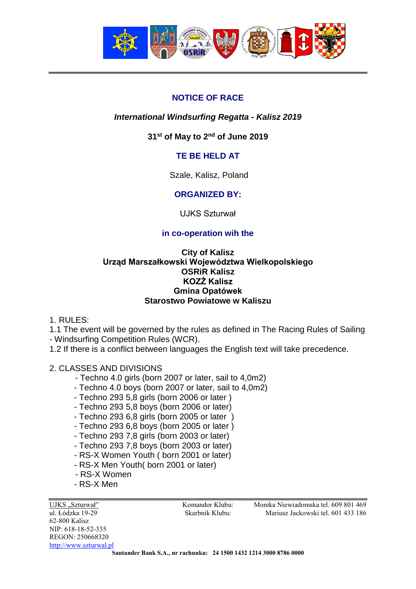

# **NOTICE OF RACE**

## *International Windsurfing Regatta - Kalisz 2019*

## **31 st of May to 2 nd of June 2019**

## **TE BE HELD AT**

Szale, Kalisz, Poland

## **ORGANIZED BY:**

UJKS Szturwał

## **in co-operation wih the**

### **City of Kalisz Urząd Marszałkowski Województwa Wielkopolskiego OSRiR Kalisz KOZŻ Kalisz Gmina Opatówek Starostwo Powiatowe w Kaliszu**

1. RULES:

1.1 The event will be governed by the rules as defined in The Racing Rules of Sailing - Windsurfing Competition Rules (WCR).

1.2 If there is a conflict between languages the English text will take precedence.

2. CLASSES AND DIVISIONS

- Techno 4.0 girls (born 2007 or later, sail to 4,0m2)
- Techno 4.0 boys (born 2007 or later, sail to 4,0m2)
- Techno 293 5,8 girls (born 2006 or later )
- Techno 293 5,8 boys (born 2006 or later)
- Techno 293 6,8 girls (born 2005 or later )
- Techno 293 6,8 boys (born 2005 or later )
- Techno 293 7,8 girls (born 2003 or later)
- Techno 293 7,8 boys (born 2003 or later)
- RS-X Women Youth ( born 2001 or later)
- RS-X Men Youth( born 2001 or later)
- RS-X Women
- RS-X Men

UJKS ..Szturwał" Komandor Klubu: Monika Niewiadomska tel. 609 801 469 ul. Łódzka 19-29 Skarbnik Klubu: Mariusz Jackowski tel. 601 433 186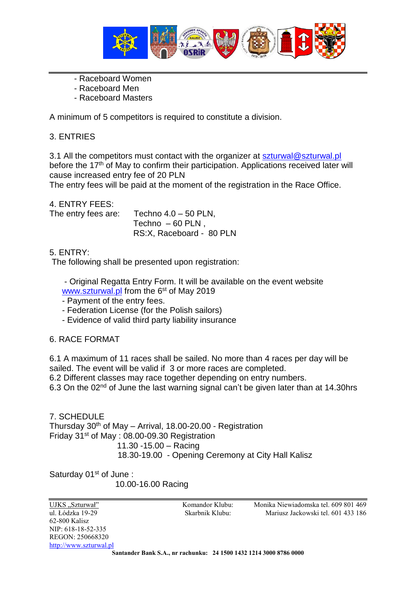

- Raceboard Women
- Raceboard Men
- Raceboard Masters

A minimum of 5 competitors is required to constitute a division.

### 3. ENTRIES

3.1 All the competitors must contact with the organizer at [szturwal@szturwal.pl](mailto:szturwal@szturwal.pl) before the 17<sup>th</sup> of May to confirm their participation. Applications received later will cause increased entry fee of 20 PLN

The entry fees will be paid at the moment of the registration in the Race Office.

4. ENTRY FEES:

The entry fees are:  $T$ echno  $4.0 - 50$  PLN,

Techno  $-60$  PLN, RS:X, Raceboard - 80 PLN

### 5. ENTRY:

The following shall be presented upon registration:

- Original Regatta Entry Form. It will be available on the event website [www.szturwal.pl](http://www.szturwal.pl/) from the 6<sup>st</sup> of May 2019

- Payment of the entry fees.

- Federation License (for the Polish sailors)
- Evidence of valid third party liability insurance

### 6. RACE FORMAT

6.1 A maximum of 11 races shall be sailed. No more than 4 races per day will be sailed. The event will be valid if 3 or more races are completed.

6.2 Different classes may race together depending on entry numbers.

6.3 On the 02<sup>nd</sup> of June the last warning signal can't be given later than at 14.30hrs

7. SCHEDULE Thursday 30<sup>th</sup> of May - Arrival, 18.00-20.00 - Registration Friday 31st of May : 08.00-09.30 Registration 11.30 -15.00 – Racing 18.30-19.00 - Opening Ceremony at City Hall Kalisz

Saturday 01<sup>st</sup> of June:

10.00-16.00 Racing

62-800 Kalisz NIP: 618-18-52-335 REGON: 250668320 [http://www.szturwal.pl](http://www.szturwal.pl/)

UJKS ..Szturwał" Komandor Klubu: Monika Niewiadomska tel. 609 801 469 ul. Łódzka 19-29 Skarbnik Klubu: Mariusz Jackowski tel. 601 433 186

**Santander Bank S.A., nr rachunku: 24 1500 1432 1214 3000 8786 0000**